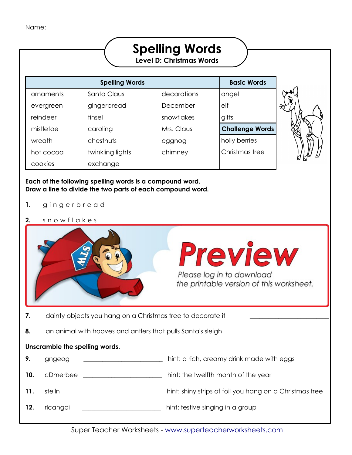|           |                                                                                                                        | <b>Spelling Words</b><br><b>Level D: Christmas Words</b> |                        |  |
|-----------|------------------------------------------------------------------------------------------------------------------------|----------------------------------------------------------|------------------------|--|
|           | <b>Spelling Words</b>                                                                                                  |                                                          | <b>Basic Words</b>     |  |
| ornaments | Santa Claus                                                                                                            | decorations                                              | angel                  |  |
| evergreen | gingerbread                                                                                                            | December                                                 | $e$ If                 |  |
| reindeer  | tinsel                                                                                                                 | snowflakes                                               | gifts                  |  |
| mistletoe | caroling                                                                                                               | Mrs. Claus                                               | <b>Challenge Words</b> |  |
| wreath    | chestnuts                                                                                                              | eggnog                                                   | holly berries          |  |
| hot cocoa | twinkling lights                                                                                                       | chimney                                                  | Christmas tree         |  |
| cookies   | exchange                                                                                                               |                                                          |                        |  |
|           | Each of the following spelling words is a compound word.<br>Draw a line to divide the two parts of each compound word. |                                                          |                        |  |

- **1.** g i n g e r b r e a d
- **2.** s n o w f l a k e s

|     |                                                             | <b>Preview</b><br>Please log in to download<br>the printable version of this worksheet. |
|-----|-------------------------------------------------------------|-----------------------------------------------------------------------------------------|
| 7.  | dainty objects you hang on a Christmas tree to decorate it  |                                                                                         |
| 8.  | an animal with hooves and antlers that pulls Santa's sleigh |                                                                                         |
|     | Unscramble the spelling words.                              |                                                                                         |
| 9.  | gngeog                                                      | hint: a rich, creamy drink made with eggs                                               |
| 10. | cDmerbee                                                    | hint: the twelfth month of the year                                                     |
| 11. | steiln                                                      | hint: shiny strips of foil you hang on a Christmas tree                                 |
| 12. | rlcangoi                                                    | hint: festive singing in a group                                                        |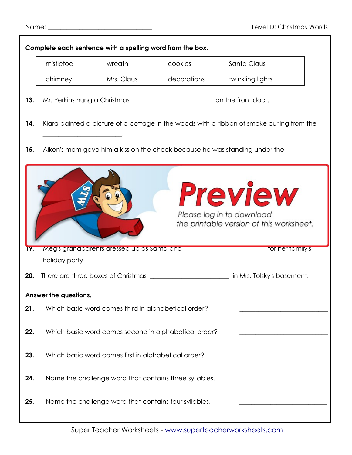|            |                       | Complete each sentence with a spelling word from the box. |                                                                                                                |                                                                                              |  |
|------------|-----------------------|-----------------------------------------------------------|----------------------------------------------------------------------------------------------------------------|----------------------------------------------------------------------------------------------|--|
|            | mistletoe             | wreath                                                    | cookies                                                                                                        | Santa Claus                                                                                  |  |
|            | chimney               | Mrs. Claus                                                | decorations                                                                                                    | twinkling lights                                                                             |  |
| 13.        |                       |                                                           |                                                                                                                |                                                                                              |  |
| 14.        |                       |                                                           |                                                                                                                | Kiara painted a picture of a cottage in the woods with a ribbon of smoke curling from the    |  |
| 15.        |                       |                                                           | Aiken's mom gave him a kiss on the cheek because he was standing under the                                     |                                                                                              |  |
|            |                       |                                                           |                                                                                                                | <b>Preview</b><br>Please log in to download<br>the printable version of this worksheet.      |  |
| <b>19.</b> | holiday party.        |                                                           | Meg's grandparents dressed up as Santa and stream and the control of the stream of the stream of the stream of | tor her tamily's                                                                             |  |
| 20.        |                       |                                                           |                                                                                                                | There are three boxes of Christmas ______________________________ in Mrs. Tolsky's basement. |  |
|            | Answer the questions. |                                                           |                                                                                                                |                                                                                              |  |
| 21.        |                       | Which basic word comes third in alphabetical order?       |                                                                                                                |                                                                                              |  |
| 22.        |                       |                                                           | Which basic word comes second in alphabetical order?                                                           |                                                                                              |  |
| 23.        |                       | Which basic word comes first in alphabetical order?       |                                                                                                                |                                                                                              |  |
| 24.        |                       |                                                           | Name the challenge word that contains three syllables.                                                         |                                                                                              |  |
| 25.        |                       | Name the challenge word that contains four syllables.     |                                                                                                                |                                                                                              |  |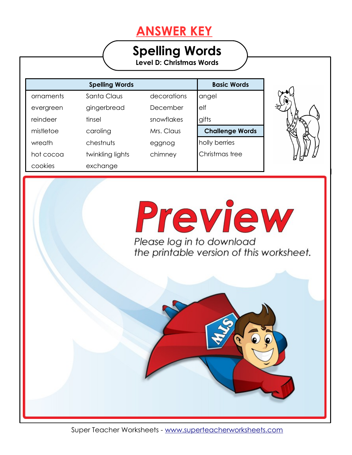## **ANSWER KEY**

## **Spelling Words**

**Level D: Christmas Words**

|           | <b>Spelling Words</b> |             | <b>Basic Words</b>     |
|-----------|-----------------------|-------------|------------------------|
| ornaments | Santa Claus           | decorations | angel                  |
| evergreen | gingerbread           | December    | elf                    |
| reindeer  | tinsel                | snowflakes  | gifts                  |
| mistletoe | caroling              | Mrs. Claus  | <b>Challenge Words</b> |
| wreath    | chestnuts             | eggnog      | holly berries          |
| hot cocoa | twinkling lights      | chimney     | Christmas tree         |
| cookies   | exchange              |             |                        |

**Each of the following spelling words is a compound word.** 

**3. According to the contract of the contract of the contract of the contract of the contract of the contract of the contract of the contract of the contract of the contract of the contract of the contract of the contract** 

**4. A. C. H. S. A. C. A.** 

**Write a spelling word for each definition.**



Preview Please log in to download the printable version of this worksheet.

 $\bullet$ 

Super Teacher Worksheets - [www.superteacherworksheets.com](http://www.superteacherworksheets.com/)

**11.** steiln **tinsel** hint: shiny strips of foil you hang on a Christmas tree

**6.** a warm, rich drink you can top with whipped cream and **hot chocolate**

**7.** dainty objects you hang on a Christmas tree to decorate it **ornaments**

**8.** an animal with hooves and antlers that pulls Santa's sleigh **reindeer**

**9.** gngeog **eggnog** hint: a rich, creamy drink made with eggs

**10.** cDmerbee **December** hint: the twelfth month of the year